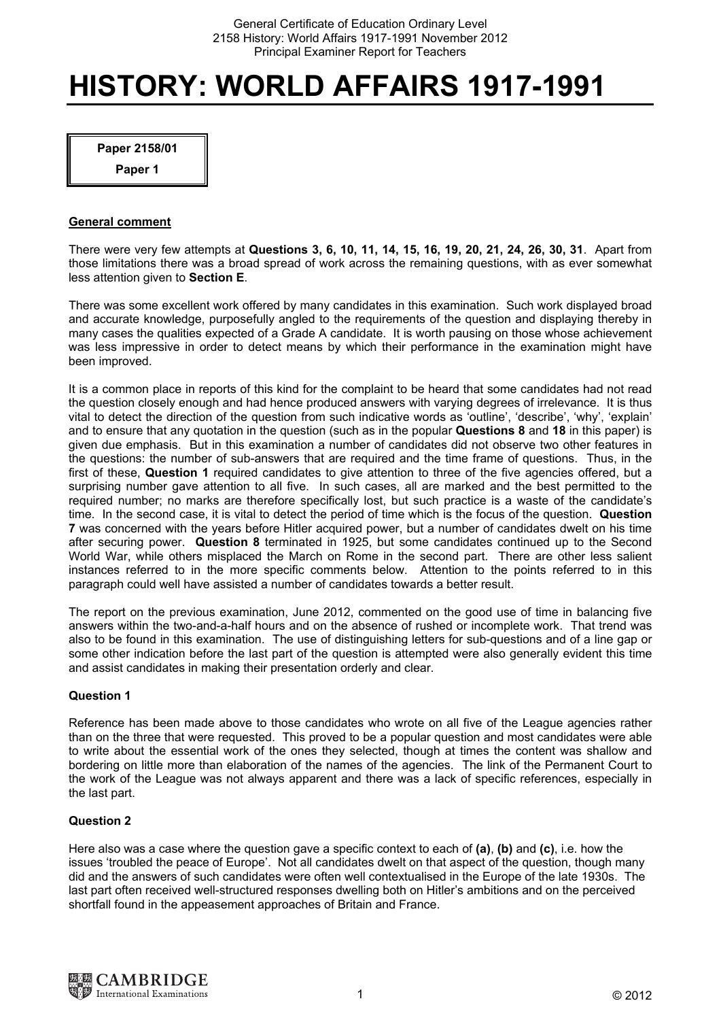# **HISTORY: WORLD AFFAIRS 1917-1991**

**Paper 2158/01** 

**Paper 1** 

# **General comment**

There were very few attempts at **Questions 3, 6, 10, 11, 14, 15, 16, 19, 20, 21, 24, 26, 30, 31**. Apart from those limitations there was a broad spread of work across the remaining questions, with as ever somewhat less attention given to **Section E**.

There was some excellent work offered by many candidates in this examination. Such work displayed broad and accurate knowledge, purposefully angled to the requirements of the question and displaying thereby in many cases the qualities expected of a Grade A candidate. It is worth pausing on those whose achievement was less impressive in order to detect means by which their performance in the examination might have been improved.

It is a common place in reports of this kind for the complaint to be heard that some candidates had not read the question closely enough and had hence produced answers with varying degrees of irrelevance. It is thus vital to detect the direction of the question from such indicative words as 'outline', 'describe', 'why', 'explain' and to ensure that any quotation in the question (such as in the popular **Questions 8** and **18** in this paper) is given due emphasis. But in this examination a number of candidates did not observe two other features in the questions: the number of sub-answers that are required and the time frame of questions. Thus, in the first of these, **Question 1** required candidates to give attention to three of the five agencies offered, but a surprising number gave attention to all five. In such cases, all are marked and the best permitted to the required number; no marks are therefore specifically lost, but such practice is a waste of the candidate's time. In the second case, it is vital to detect the period of time which is the focus of the question. **Question 7** was concerned with the years before Hitler acquired power, but a number of candidates dwelt on his time after securing power. **Question 8** terminated in 1925, but some candidates continued up to the Second World War, while others misplaced the March on Rome in the second part. There are other less salient instances referred to in the more specific comments below. Attention to the points referred to in this paragraph could well have assisted a number of candidates towards a better result.

The report on the previous examination, June 2012, commented on the good use of time in balancing five answers within the two-and-a-half hours and on the absence of rushed or incomplete work. That trend was also to be found in this examination. The use of distinguishing letters for sub-questions and of a line gap or some other indication before the last part of the question is attempted were also generally evident this time and assist candidates in making their presentation orderly and clear.

# **Question 1**

Reference has been made above to those candidates who wrote on all five of the League agencies rather than on the three that were requested. This proved to be a popular question and most candidates were able to write about the essential work of the ones they selected, though at times the content was shallow and bordering on little more than elaboration of the names of the agencies. The link of the Permanent Court to the work of the League was not always apparent and there was a lack of specific references, especially in the last part.

# **Question 2**

Here also was a case where the question gave a specific context to each of **(a)**, **(b)** and **(c)**, i.e. how the issues 'troubled the peace of Europe'. Not all candidates dwelt on that aspect of the question, though many did and the answers of such candidates were often well contextualised in the Europe of the late 1930s. The last part often received well-structured responses dwelling both on Hitler's ambitions and on the perceived shortfall found in the appeasement approaches of Britain and France.

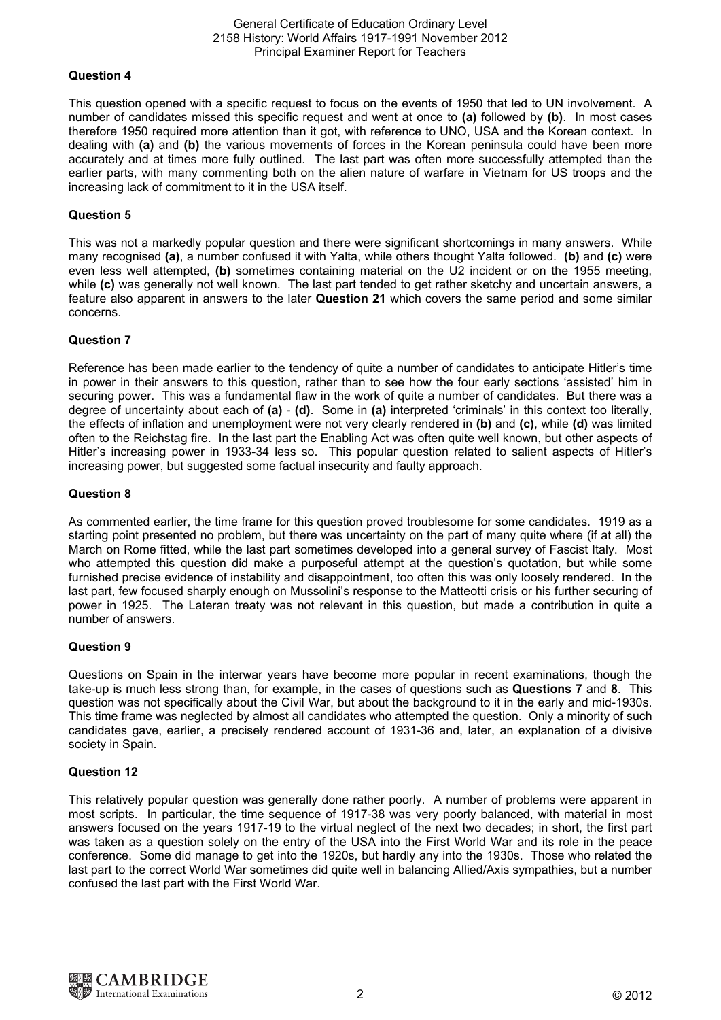#### General Certificate of Education Ordinary Level 2158 History: World Affairs 1917-1991 November 2012 Principal Examiner Report for Teachers

## **Question 4**

This question opened with a specific request to focus on the events of 1950 that led to UN involvement. A number of candidates missed this specific request and went at once to **(a)** followed by **(b)**. In most cases therefore 1950 required more attention than it got, with reference to UNO, USA and the Korean context. In dealing with **(a)** and **(b)** the various movements of forces in the Korean peninsula could have been more accurately and at times more fully outlined. The last part was often more successfully attempted than the earlier parts, with many commenting both on the alien nature of warfare in Vietnam for US troops and the increasing lack of commitment to it in the USA itself.

## **Question 5**

This was not a markedly popular question and there were significant shortcomings in many answers. While many recognised **(a)**, a number confused it with Yalta, while others thought Yalta followed. **(b)** and **(c)** were even less well attempted, **(b)** sometimes containing material on the U2 incident or on the 1955 meeting, while (c) was generally not well known. The last part tended to get rather sketchy and uncertain answers, a feature also apparent in answers to the later **Question 21** which covers the same period and some similar concerns.

## **Question 7**

Reference has been made earlier to the tendency of quite a number of candidates to anticipate Hitler's time in power in their answers to this question, rather than to see how the four early sections 'assisted' him in securing power. This was a fundamental flaw in the work of quite a number of candidates. But there was a degree of uncertainty about each of **(a)** - **(d)**. Some in **(a)** interpreted 'criminals' in this context too literally, the effects of inflation and unemployment were not very clearly rendered in **(b)** and **(c)**, while **(d)** was limited often to the Reichstag fire. In the last part the Enabling Act was often quite well known, but other aspects of Hitler's increasing power in 1933-34 less so. This popular question related to salient aspects of Hitler's increasing power, but suggested some factual insecurity and faulty approach.

#### **Question 8**

As commented earlier, the time frame for this question proved troublesome for some candidates. 1919 as a starting point presented no problem, but there was uncertainty on the part of many quite where (if at all) the March on Rome fitted, while the last part sometimes developed into a general survey of Fascist Italy. Most who attempted this question did make a purposeful attempt at the question's quotation, but while some furnished precise evidence of instability and disappointment, too often this was only loosely rendered. In the last part, few focused sharply enough on Mussolini's response to the Matteotti crisis or his further securing of power in 1925. The Lateran treaty was not relevant in this question, but made a contribution in quite a number of answers.

# **Question 9**

Questions on Spain in the interwar years have become more popular in recent examinations, though the take-up is much less strong than, for example, in the cases of questions such as **Questions 7** and **8**. This question was not specifically about the Civil War, but about the background to it in the early and mid-1930s. This time frame was neglected by almost all candidates who attempted the question. Only a minority of such candidates gave, earlier, a precisely rendered account of 1931-36 and, later, an explanation of a divisive society in Spain.

#### **Question 12**

This relatively popular question was generally done rather poorly. A number of problems were apparent in most scripts. In particular, the time sequence of 1917-38 was very poorly balanced, with material in most answers focused on the years 1917-19 to the virtual neglect of the next two decades; in short, the first part was taken as a question solely on the entry of the USA into the First World War and its role in the peace conference. Some did manage to get into the 1920s, but hardly any into the 1930s. Those who related the last part to the correct World War sometimes did quite well in balancing Allied/Axis sympathies, but a number confused the last part with the First World War.

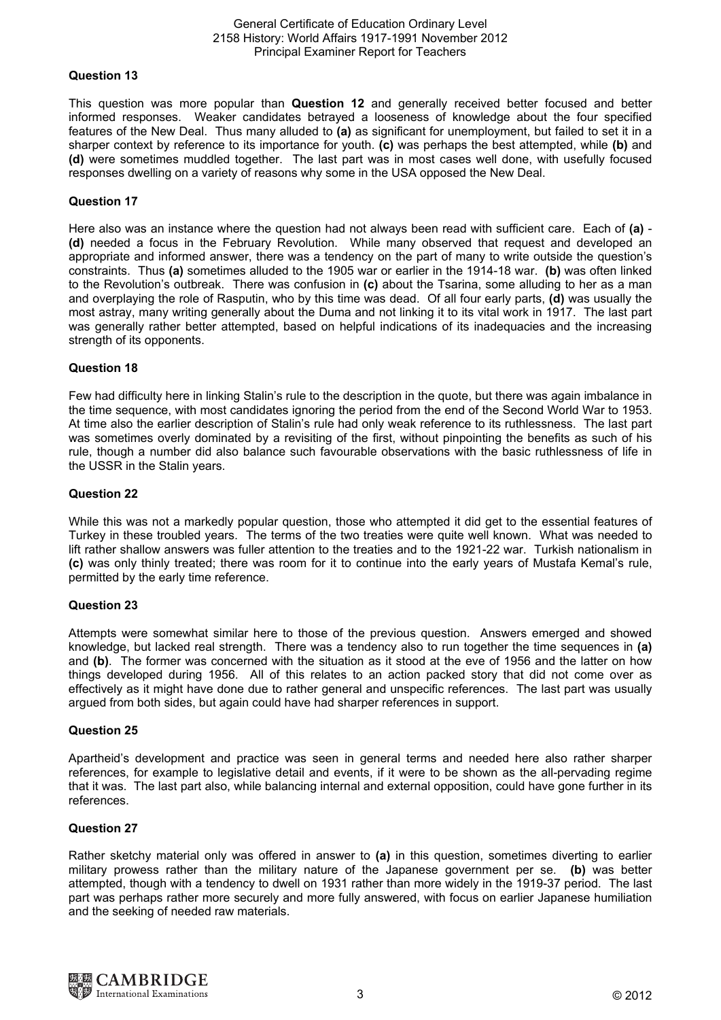#### General Certificate of Education Ordinary Level 2158 History: World Affairs 1917-1991 November 2012 Principal Examiner Report for Teachers

## **Question 13**

This question was more popular than **Question 12** and generally received better focused and better informed responses. Weaker candidates betrayed a looseness of knowledge about the four specified features of the New Deal. Thus many alluded to **(a)** as significant for unemployment, but failed to set it in a sharper context by reference to its importance for youth. **(c)** was perhaps the best attempted, while **(b)** and **(d)** were sometimes muddled together. The last part was in most cases well done, with usefully focused responses dwelling on a variety of reasons why some in the USA opposed the New Deal.

## **Question 17**

Here also was an instance where the question had not always been read with sufficient care. Each of **(a)** - **(d)** needed a focus in the February Revolution. While many observed that request and developed an appropriate and informed answer, there was a tendency on the part of many to write outside the question's constraints. Thus **(a)** sometimes alluded to the 1905 war or earlier in the 1914-18 war. **(b)** was often linked to the Revolution's outbreak. There was confusion in **(c)** about the Tsarina, some alluding to her as a man and overplaying the role of Rasputin, who by this time was dead. Of all four early parts, **(d)** was usually the most astray, many writing generally about the Duma and not linking it to its vital work in 1917. The last part was generally rather better attempted, based on helpful indications of its inadequacies and the increasing strength of its opponents.

### **Question 18**

Few had difficulty here in linking Stalin's rule to the description in the quote, but there was again imbalance in the time sequence, with most candidates ignoring the period from the end of the Second World War to 1953. At time also the earlier description of Stalin's rule had only weak reference to its ruthlessness. The last part was sometimes overly dominated by a revisiting of the first, without pinpointing the benefits as such of his rule, though a number did also balance such favourable observations with the basic ruthlessness of life in the USSR in the Stalin years.

#### **Question 22**

While this was not a markedly popular question, those who attempted it did get to the essential features of Turkey in these troubled years. The terms of the two treaties were quite well known. What was needed to lift rather shallow answers was fuller attention to the treaties and to the 1921-22 war. Turkish nationalism in **(c)** was only thinly treated; there was room for it to continue into the early years of Mustafa Kemal's rule, permitted by the early time reference.

#### **Question 23**

Attempts were somewhat similar here to those of the previous question. Answers emerged and showed knowledge, but lacked real strength. There was a tendency also to run together the time sequences in **(a)** and **(b)**. The former was concerned with the situation as it stood at the eve of 1956 and the latter on how things developed during 1956. All of this relates to an action packed story that did not come over as effectively as it might have done due to rather general and unspecific references. The last part was usually argued from both sides, but again could have had sharper references in support.

#### **Question 25**

Apartheid's development and practice was seen in general terms and needed here also rather sharper references, for example to legislative detail and events, if it were to be shown as the all-pervading regime that it was. The last part also, while balancing internal and external opposition, could have gone further in its references.

## **Question 27**

Rather sketchy material only was offered in answer to **(a)** in this question, sometimes diverting to earlier military prowess rather than the military nature of the Japanese government per se. **(b)** was better attempted, though with a tendency to dwell on 1931 rather than more widely in the 1919-37 period. The last part was perhaps rather more securely and more fully answered, with focus on earlier Japanese humiliation and the seeking of needed raw materials.